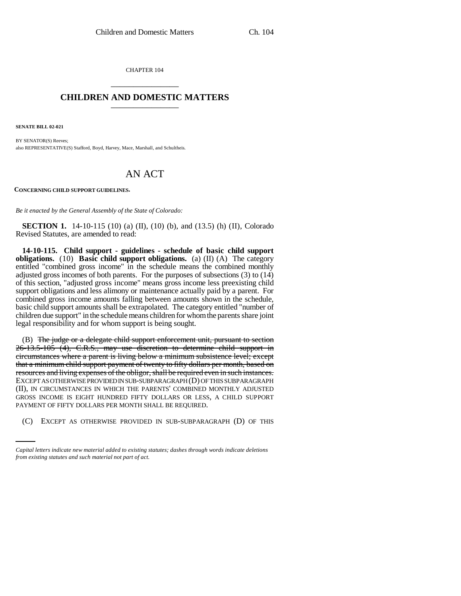CHAPTER 104 \_\_\_\_\_\_\_\_\_\_\_\_\_\_\_

## **CHILDREN AND DOMESTIC MATTERS** \_\_\_\_\_\_\_\_\_\_\_\_\_\_\_

**SENATE BILL 02-021**

BY SENATOR(S) Reeves; also REPRESENTATIVE(S) Stafford, Boyd, Harvey, Mace, Marshall, and Schultheis.

## AN ACT

**CONCERNING CHILD SUPPORT GUIDELINES.**

*Be it enacted by the General Assembly of the State of Colorado:*

**SECTION 1.** 14-10-115 (10) (a) (II), (10) (b), and (13.5) (h) (II), Colorado Revised Statutes, are amended to read:

**14-10-115. Child support - guidelines - schedule of basic child support obligations.** (10) **Basic child support obligations.** (a) (II) (A) The category entitled "combined gross income" in the schedule means the combined monthly adjusted gross incomes of both parents. For the purposes of subsections (3) to (14) of this section, "adjusted gross income" means gross income less preexisting child support obligations and less alimony or maintenance actually paid by a parent. For combined gross income amounts falling between amounts shown in the schedule, basic child support amounts shall be extrapolated. The category entitled "number of children due support" in the schedule means children for whom the parents share joint legal responsibility and for whom support is being sought.

PAYMENT OF FIFTY DOLLARS PER MONTH SHALL BE REQUIRED. (B) The judge or a delegate child support enforcement unit, pursuant to section 26-13.5-105 (4), C.R.S., may use discretion to determine child support in circumstances where a parent is living below a minimum subsistence level; except that a minimum child support payment of twenty to fifty dollars per month, based on resources and living expenses of the obligor, shall be required even in such instances. EXCEPT AS OTHERWISE PROVIDED IN SUB-SUBPARAGRAPH (D) OF THIS SUBPARAGRAPH (II), IN CIRCUMSTANCES IN WHICH THE PARENTS' COMBINED MONTHLY ADJUSTED GROSS INCOME IS EIGHT HUNDRED FIFTY DOLLARS OR LESS, A CHILD SUPPORT

(C) EXCEPT AS OTHERWISE PROVIDED IN SUB-SUBPARAGRAPH (D) OF THIS

*Capital letters indicate new material added to existing statutes; dashes through words indicate deletions from existing statutes and such material not part of act.*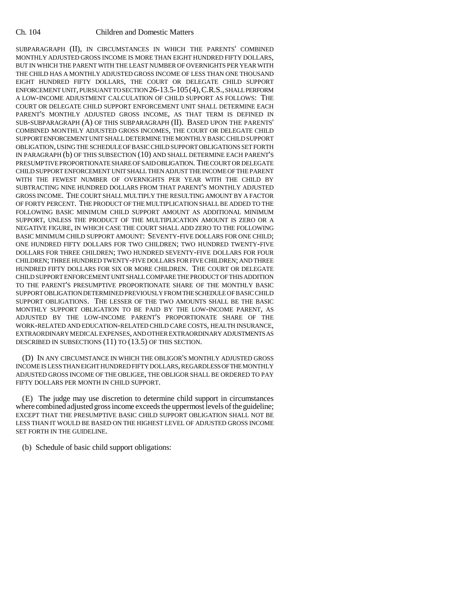SUBPARAGRAPH (II), IN CIRCUMSTANCES IN WHICH THE PARENTS' COMBINED MONTHLY ADJUSTED GROSS INCOME IS MORE THAN EIGHT HUNDRED FIFTY DOLLARS, BUT IN WHICH THE PARENT WITH THE LEAST NUMBER OF OVERNIGHTS PER YEAR WITH THE CHILD HAS A MONTHLY ADJUSTED GROSS INCOME OF LESS THAN ONE THOUSAND EIGHT HUNDRED FIFTY DOLLARS, THE COURT OR DELEGATE CHILD SUPPORT ENFORCEMENT UNIT, PURSUANT TO SECTION 26-13.5-105(4),C.R.S., SHALL PERFORM A LOW-INCOME ADJUSTMENT CALCULATION OF CHILD SUPPORT AS FOLLOWS: THE COURT OR DELEGATE CHILD SUPPORT ENFORCEMENT UNIT SHALL DETERMINE EACH PARENT'S MONTHLY ADJUSTED GROSS INCOME, AS THAT TERM IS DEFINED IN SUB-SUBPARAGRAPH (A) OF THIS SUBPARAGRAPH (II). BASED UPON THE PARENTS' COMBINED MONTHLY ADJUSTED GROSS INCOMES, THE COURT OR DELEGATE CHILD SUPPORT ENFORCEMENT UNIT SHALL DETERMINE THE MONTHLY BASIC CHILD SUPPORT OBLIGATION, USING THE SCHEDULE OF BASIC CHILD SUPPORT OBLIGATIONS SET FORTH IN PARAGRAPH (b) OF THIS SUBSECTION (10) AND SHALL DETERMINE EACH PARENT'S PRESUMPTIVE PROPORTIONATE SHARE OF SAID OBLIGATION. THE COURT OR DELEGATE CHILD SUPPORT ENFORCEMENT UNIT SHALL THEN ADJUST THE INCOME OF THE PARENT WITH THE FEWEST NUMBER OF OVERNIGHTS PER YEAR WITH THE CHILD BY SUBTRACTING NINE HUNDRED DOLLARS FROM THAT PARENT'S MONTHLY ADJUSTED GROSS INCOME. THE COURT SHALL MULTIPLY THE RESULTING AMOUNT BY A FACTOR OF FORTY PERCENT. THE PRODUCT OF THE MULTIPLICATION SHALL BE ADDED TO THE FOLLOWING BASIC MINIMUM CHILD SUPPORT AMOUNT AS ADDITIONAL MINIMUM SUPPORT, UNLESS THE PRODUCT OF THE MULTIPLICATION AMOUNT IS ZERO OR A NEGATIVE FIGURE, IN WHICH CASE THE COURT SHALL ADD ZERO TO THE FOLLOWING BASIC MINIMUM CHILD SUPPORT AMOUNT: SEVENTY-FIVE DOLLARS FOR ONE CHILD; ONE HUNDRED FIFTY DOLLARS FOR TWO CHILDREN; TWO HUNDRED TWENTY-FIVE DOLLARS FOR THREE CHILDREN; TWO HUNDRED SEVENTY-FIVE DOLLARS FOR FOUR CHILDREN; THREE HUNDRED TWENTY-FIVE DOLLARS FOR FIVE CHILDREN; AND THREE HUNDRED FIFTY DOLLARS FOR SIX OR MORE CHILDREN. THE COURT OR DELEGATE CHILD SUPPORT ENFORCEMENT UNIT SHALL COMPARE THE PRODUCT OF THIS ADDITION TO THE PARENT'S PRESUMPTIVE PROPORTIONATE SHARE OF THE MONTHLY BASIC SUPPORT OBLIGATION DETERMINED PREVIOUSLY FROM THE SCHEDULE OF BASIC CHILD SUPPORT OBLIGATIONS. THE LESSER OF THE TWO AMOUNTS SHALL BE THE BASIC MONTHLY SUPPORT OBLIGATION TO BE PAID BY THE LOW-INCOME PARENT, AS ADJUSTED BY THE LOW-INCOME PARENT'S PROPORTIONATE SHARE OF THE WORK-RELATED AND EDUCATION-RELATED CHILD CARE COSTS, HEALTH INSURANCE, EXTRAORDINARY MEDICAL EXPENSES, AND OTHER EXTRAORDINARY ADJUSTMENTS AS DESCRIBED IN SUBSECTIONS (11) TO (13.5) OF THIS SECTION.

(D) IN ANY CIRCUMSTANCE IN WHICH THE OBLIGOR'S MONTHLY ADJUSTED GROSS INCOME IS LESS THAN EIGHT HUNDRED FIFTY DOLLARS, REGARDLESS OF THE MONTHLY ADJUSTED GROSS INCOME OF THE OBLIGEE, THE OBLIGOR SHALL BE ORDERED TO PAY FIFTY DOLLARS PER MONTH IN CHILD SUPPORT.

(E) The judge may use discretion to determine child support in circumstances where combined adjusted gross income exceeds the uppermost levels of the guideline; EXCEPT THAT THE PRESUMPTIVE BASIC CHILD SUPPORT OBLIGATION SHALL NOT BE LESS THAN IT WOULD BE BASED ON THE HIGHEST LEVEL OF ADJUSTED GROSS INCOME SET FORTH IN THE GUIDELINE.

(b) Schedule of basic child support obligations: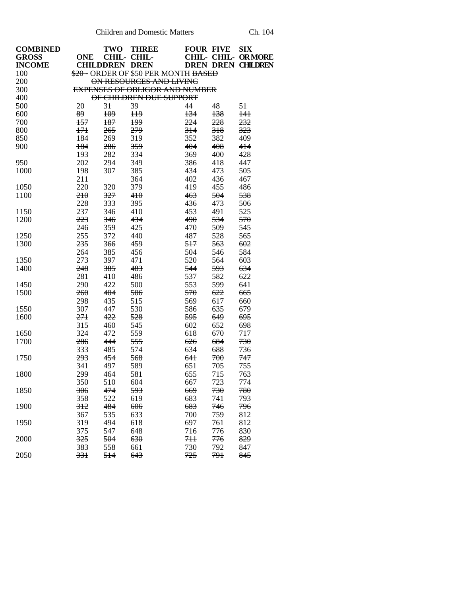| <b>COMBINED</b> |            | TWO                   | <b>THREE</b>                          | <b>FOUR FIVE</b> |     | <b>SIX</b>                |
|-----------------|------------|-----------------------|---------------------------------------|------------------|-----|---------------------------|
| <b>GROSS</b>    | <b>ONE</b> |                       | CHIL- CHIL-                           |                  |     | CHIL- CHIL- ORMORE        |
| <b>INCOME</b>   |            | <b>CHILDDREN DREN</b> |                                       |                  |     | <b>DREN DREN CHILDREN</b> |
| 100             |            |                       | \$20 - ORDER OF \$50 PER MONTH BASED  |                  |     |                           |
| 200             |            |                       | ON RESOURCES AND LIVING               |                  |     |                           |
| 300             |            |                       | <b>EXPENSES OF OBLIGOR AND NUMBER</b> |                  |     |                           |
| 400             |            |                       | OF CHILDREN DUE SUPPORT               |                  |     |                           |
| 500             | 20         | 3 <sup>1</sup>        | 39                                    | 44               | 48  | $5+$                      |
| 600             | 89         | 109                   | H <sup>9</sup>                        | $+34$            | 138 | 141                       |
| 700             | 157        | 187                   | 199                                   | 224              | 228 | 232                       |
| 800             | $+7+$      | 265                   | 279                                   | 314              | 318 | 323                       |
| 850             | 184        | 269                   | 319                                   | 352              | 382 | 409                       |
| 900             | 184        | 286                   | 359                                   | 404              | 408 | 414                       |
|                 | 193        | 282                   | 334                                   | 369              | 400 | 428                       |
| 950             | 202        | 294                   | 349                                   | 386              | 418 | 447                       |
| 1000            | 198        | 307                   | 385                                   | 434              | 473 | 505                       |
|                 | 211        |                       | 364                                   | 402              | 436 | 467                       |
| 1050            | 220        | 320                   | 379                                   | 419              | 455 | 486                       |
| 1100            | 210        | 327                   | 410                                   | 463              | 504 | 538                       |
|                 | 228        | 333                   | 395                                   | 436              | 473 | 506                       |
| 1150            | 237        | 346                   | 410                                   | 453              | 491 | 525                       |
| 1200            | 223        | 346                   | 434                                   | 490              | 534 | 570                       |
|                 | 246        | 359                   | 425                                   | 470              | 509 | 545                       |
| 1250            | 255        | 372                   | 440                                   | 487              | 528 | 565                       |
| 1300            | 235        | 366                   | 459                                   | 517              | 563 | 602                       |
|                 | 264        | 385                   | 456                                   | 504              | 546 | 584                       |
| 1350            | 273        | 397                   | 471                                   | 520              | 564 | 603                       |
| 1400            | 248        | 385                   | 483                                   | 544              | 593 | 634                       |
|                 | 281        | 410                   | 486                                   | 537              | 582 | 622                       |
| 1450            | 290        | 422                   | 500                                   | 553              | 599 | 641                       |
| 1500            | 260        | 404                   | 506                                   | 570              | 622 | 665                       |
|                 | 298        | 435                   | 515                                   | 569              | 617 | 660                       |
| 1550            | 307        | 447                   | 530                                   | 586              | 635 | 679                       |
| 1600            | 271        | 422                   | 528                                   | 595              | 649 | 695                       |
|                 | 315        | 460                   | 545                                   | 602              | 652 | 698                       |
| 1650            | 324        | 472                   | 559                                   | 618              | 670 | 717                       |
| 1700            | 286        | 444                   | 555                                   | 626              | 684 | 730                       |
|                 | 333        | 485                   | 574                                   | 634              | 688 | 736                       |
| 1750            | 293        | 454                   | 568                                   | 641              | 700 | 747                       |
|                 | 341        | 497                   | 589                                   | 651              | 705 | 755                       |
| 1800            | 299        | 464                   | 581                                   | 655              | 715 | 763                       |
|                 | 350        | 510                   | 604                                   | 667              | 723 | 774                       |
| 1850            | 306        | 474                   | 593                                   | 669              | 730 | 780                       |
|                 | 358        | 522                   | 619                                   | 683              | 741 | 793                       |
| 1900            | 312        | 484                   | 606                                   | 683              | 746 | 796                       |
|                 | 367        | 535                   | 633                                   | 700              | 759 | 812                       |
| 1950            | 319        | 494                   | 618                                   | 697              | 761 | 812                       |
|                 | 375        | 547                   | 648                                   | 716              | 776 | 830                       |
| 2000            | 325        | 504                   | 630                                   | 711              | 776 | 829                       |
|                 | 383        | 558                   | 661                                   | 730              | 792 | 847                       |
| 2050            | 331        | 514                   | 643                                   | 725              | 791 | 845                       |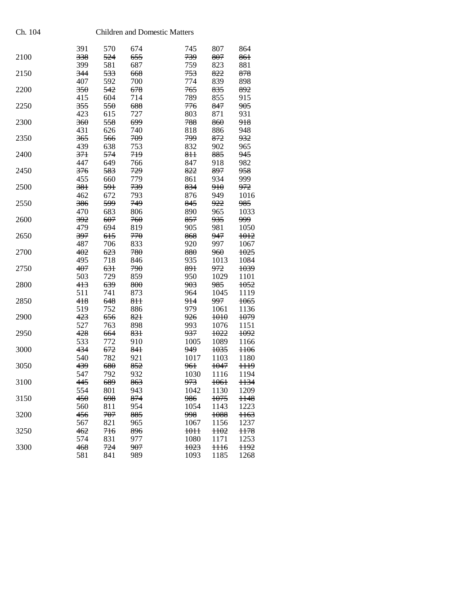|      | 391 | 570 | 674 | 745             | 807    | 864             |
|------|-----|-----|-----|-----------------|--------|-----------------|
| 2100 | 338 | 524 | 655 | 739             | 807    | 861             |
|      | 399 | 581 | 687 | 759             | 823    | 881             |
| 2150 | 344 | 533 | 668 | 753             | 822    | 878             |
|      | 407 | 592 | 700 | 774             | 839    | 898             |
| 2200 | 350 | 542 | 678 | 765             | 835    | 892             |
|      | 415 | 604 | 714 | 789             | 855    | 915             |
| 2250 | 355 | 550 | 688 | 776             | 847    | 905             |
|      | 423 | 615 | 727 | 803             | 871    | 931             |
| 2300 | 360 | 558 | 699 | 788             | 860    | 918             |
|      | 431 | 626 | 740 | 818             | 886    | 948             |
| 2350 | 365 | 566 | 709 | 799             | 872    | 932             |
|      | 439 | 638 | 753 | 832             | 902    | 965             |
|      |     |     | 719 | 8 <sup>H</sup>  |        | 945             |
| 2400 | 371 | 574 |     |                 | 885    |                 |
|      | 447 | 649 | 766 | 847             | 918    | 982             |
| 2450 | 376 | 583 | 729 | 822             | 897    | 958             |
|      | 455 | 660 | 779 | 861             | 934    | 999             |
| 2500 | 381 | 591 | 739 | 834             | 910    | 972             |
|      | 462 | 672 | 793 | 876             | 949    | 1016            |
| 2550 | 386 | 599 | 749 | 845             | 922    | 985             |
|      | 470 | 683 | 806 | 890             | 965    | 1033            |
| 2600 | 392 | 607 | 760 | 857             | 935    | 999             |
|      | 479 | 694 | 819 | 905             | 981    | 1050            |
| 2650 | 397 | 615 | 770 | 868             | 947    | 1012            |
|      | 487 | 706 | 833 | 920             | 997    | 1067            |
| 2700 | 402 | 623 | 780 | 880             | 960    | 1025            |
|      | 495 | 718 | 846 | 935             | 1013   | 1084            |
| 2750 | 407 | 631 | 790 | 891             | 972    | 1039            |
|      | 503 | 729 | 859 | 950             | 1029   | 1101            |
| 2800 | 413 | 639 | 800 | 903             | 985    | 1052            |
|      | 511 | 741 | 873 | 964             | 1045   | 1119            |
| 2850 | 418 | 648 | 811 | 914             | 997    | 1065            |
|      |     |     |     |                 |        |                 |
|      | 519 | 752 | 886 | 979             | 1061   | 1136            |
| 2900 | 423 | 656 | 821 | 926             | 1010   | 1079            |
|      | 527 | 763 | 898 | 993             | 1076   | 1151            |
| 2950 | 428 | 664 | 831 | 937             | 1022   | 1092            |
|      | 533 | 772 | 910 | 1005            | 1089   | 1166            |
| 3000 | 434 | 672 | 841 | 949             | 1035   | <b>H06</b>      |
|      | 540 | 782 | 921 | 1017            | 1103   | 1180            |
| 3050 | 439 | 680 | 852 | 961             | 1047   | H <sub>19</sub> |
|      | 547 | 792 | 932 | 1030            | 1116   | 1194            |
| 3100 | 445 | 689 | 863 | 973             | 1061   | 1134            |
|      | 554 | 801 | 943 | 1042            | 1130   | 1209            |
| 3150 | 450 | 698 | 874 | 986             | 1075   | 1148            |
|      | 560 | 811 | 954 | 1054            | 1143   | 1223            |
| 3200 | 456 | 707 | 885 | 998             | 1088   | $1163$          |
|      | 567 | 821 | 965 | 1067            | 1156   | 1237            |
| 3250 | 462 | 716 | 896 | <del>1011</del> | $1102$ | <b>H78</b>      |
|      | 574 | 831 | 977 | 1080            | 1171   | 1253            |
| 3300 | 468 | 724 | 907 | 1023            | $1116$ | 1192            |
|      | 581 | 841 | 989 | 1093            | 1185   | 1268            |
|      |     |     |     |                 |        |                 |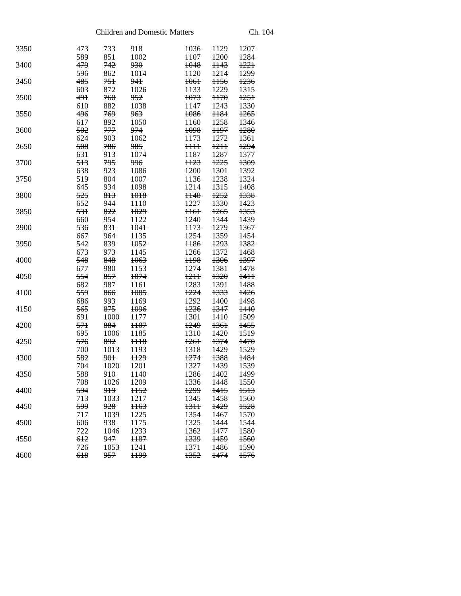| 3350 | 473             | 733            | 918             | 1036            | <del>1129</del> | 1207            |
|------|-----------------|----------------|-----------------|-----------------|-----------------|-----------------|
|      | 589             | 851            | 1002            | 1107            | 1200            | 1284            |
| 3400 | 479             | 742            | 930             | 1048            | <del>1143</del> | 1221            |
|      | 596             | 862            | 1014            | 1120            | 1214            | 1299            |
| 3450 | 485             | 751            | 941             | <del>1061</del> | <del>1156</del> | 1236            |
|      | 603             | 872            | 1026            | 1133            | 1229            | 1315            |
| 3500 | 491             | 760            | 952             | 1073            | H70             | 1251            |
|      | 610             | 882            | 1038            | 1147            | 1243            | 1330            |
| 3550 | 496             | 769            | <del>963</del>  | 1086            | 1184            | <del>1265</del> |
|      | 617             | 892            | 1050            | 1160            | 1258            | 1346            |
| 3600 | 502             | 777            | 974             | 1098            | <b>H97</b>      | 1280            |
|      | 624             | 903            | 1062            | 1173            | 1272            | 1361            |
| 3650 | 508             | 786            | 985             | <del>1111</del> | 1211            | 1294            |
|      | 631             | 913            | 1074            | 1187            | 1287            | 1377            |
| 3700 | 513             | 795            | 996             | <del>1123</del> | 1225            | 1309            |
|      | 638             | 923            | 1086            | 1200            | 1301            | 1392            |
| 3750 | 519             | 804            | 1007            | H <sub>36</sub> | 1238            | 1324            |
|      | 645             | 934            | 1098            | 1214            | 1315            | 1408            |
| 3800 | 525             | 813            | 1018            | <del>1148</del> | 1252            | 1338            |
|      | 652             | 944            | 1110            | 1227            | 1330            | 1423            |
| 3850 | 531             | 822            | 1029            | H61             | 1265            | 1353            |
|      | 660             | 954            | 1122            | 1240            | 1344            | 1439            |
| 3900 | 536             | 831            | 1041            | H73             | 1279            | 1367            |
|      | 667             | 964            | 1135            | 1254            | 1359            | 1454            |
| 3950 | 542             | 839            | 1052            | <b>H86</b>      | 1293            | 1382            |
|      | 673             | 973            | 1145            | 1266            | 1372            | 1468            |
| 4000 | 548             | 848            | 1063            | <del>1198</del> | 1306            | 1397            |
|      | 677             | 980            | 1153            | 1274            | 1381            | 1478            |
| 4050 | 554             | 857            | 1074            | 1211            | 1320            | <del>1411</del> |
|      | 682             | 987            | 1161            | 1283            | 1391            | 1488            |
| 4100 | 559             | 866            | 1085            | 1224            | 1333            | 1426            |
|      | 686             | 993            | 1169            | 1292            | 1400            | 1498            |
| 4150 | 565             | 875            | 1096            | 1236            | 1347            | 1440            |
|      | 691             | 1000           | 1177            | 1301            | 1410            | 1509            |
| 4200 | 57 <sup>1</sup> | 884            | <b>H07</b>      | 1249            | 1361            | 1455            |
|      | 695             | 1006           | 1185            | 1310            | 1420            | 1519            |
| 4250 | 576             | 892            | <del>1118</del> | 1261            | 1374            | 1470            |
|      | 700             | 1013           | 1193            | 1318            | 1429            | 1529            |
| 4300 | 582             | 901            | H <sub>29</sub> | 1274            | 1388            | 1484            |
|      | 704             | 1020           | 1201            | 1327            | 1439            | 1539            |
| 4350 | 588             | 910            | H40             | 1286            | 1402            | 1499            |
|      | 708             | 1026           | 1209            | 1336            | 1448            | 1550            |
| 4400 | 594             | <del>919</del> | <del>1152</del> | 1299            | 1415            | <del>1513</del> |
|      | 713             | 1033           | 1217            | 1345            | 1458            | 1560            |
| 4450 | 599             | 928            | H63             | <del>1311</del> | <del>1429</del> | 1528            |
|      | 717             | 1039           | 1225            | 1354            | 1467            | 1570            |
| 4500 | 606             | 938            | <b>H75</b>      | 1325            | 1444            | 1544            |
|      | 722             | 1046           | 1233            | 1362            | 1477            | 1580            |
| 4550 | 612             | 947            | <b>H87</b>      | 1339            | 1459            | 1560            |
|      | 726             | 1053           | 1241            | 1371            | 1486            | 1590            |
| 4600 | 618             | 957            | <b>H99</b>      | 1352            | 1474            | 1576            |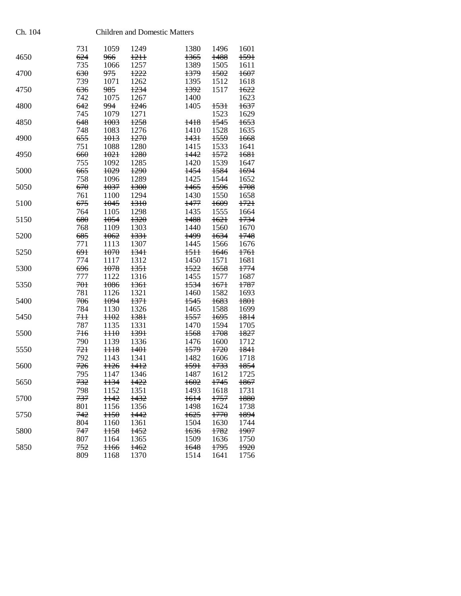|      | 731 | 1059            | 1249 | 1380            | 1496 | 1601   |
|------|-----|-----------------|------|-----------------|------|--------|
| 4650 | 624 | 966             | 1211 | 1365            | 1488 | 1591   |
|      | 735 | 1066            | 1257 | 1389            | 1505 | 1611   |
| 4700 | 630 | 975             | 1222 | 1379            | 1502 | 1607   |
|      | 739 | 1071            | 1262 | 1395            | 1512 | 1618   |
| 4750 | 636 | 985             | 1234 | 1392            | 1517 | 1622   |
|      |     |                 |      |                 |      |        |
|      | 742 | 1075            | 1267 | 1400            |      | 1623   |
| 4800 | 642 | 994             | 1246 | 1405            | 1531 | 1637   |
|      | 745 | 1079            | 1271 |                 | 1523 | 1629   |
| 4850 | 648 | 1003            | 1258 | 1418            | 1545 | 1653   |
|      | 748 | 1083            | 1276 | 1410            | 1528 | 1635   |
| 4900 | 655 | 1013            | 1270 | <del>1431</del> | 1559 | 1668   |
|      | 751 | 1088            | 1280 | 1415            | 1533 | 1641   |
| 4950 | 660 | 1021            | 1280 | 1442            | 1572 | 1681   |
|      | 755 | 1092            | 1285 | 1420            | 1539 | 1647   |
|      | 665 |                 | 1290 |                 | 1584 | 1694   |
| 5000 |     | 1029            |      | 1454            |      |        |
|      | 758 | 1096            | 1289 | 1425            | 1544 | 1652   |
| 5050 | 670 | 1037            | 1300 | 1465            | 1596 | 1708   |
|      | 761 | 1100            | 1294 | 1430            | 1550 | 1658   |
| 5100 | 675 | 1045            | 1310 | 1477            | 1609 | 1721   |
|      | 764 | 1105            | 1298 | 1435            | 1555 | 1664   |
| 5150 | 680 | 1054            | 1320 | 1488            | 1621 | 1734   |
|      | 768 | 1109            | 1303 | 1440            | 1560 | 1670   |
| 5200 | 685 | 1062            | 1331 | 1499            | 1634 | 1748   |
|      | 771 | 1113            | 1307 | 1445            | 1566 | 1676   |
| 5250 | 691 | 1070            | 1341 | 1511            | 1646 | $+76+$ |
|      | 774 | 1117            | 1312 | 1450            | 1571 | 1681   |
|      |     |                 |      |                 |      |        |
| 5300 | 696 | 1078            | 1351 | 1522            | 1658 | 1774   |
|      | 777 | 1122            | 1316 | 1455            | 1577 | 1687   |
| 5350 | 701 | 1086            | 1361 | 1534            | 1671 | 1787   |
|      | 781 | 1126            | 1321 | 1460            | 1582 | 1693   |
| 5400 | 706 | 1094            | 1371 | 1545            | 1683 | 1801   |
|      | 784 | 1130            | 1326 | 1465            | 1588 | 1699   |
| 5450 | 711 | <b>H02</b>      | 1381 | 1557            | 1695 | 1814   |
|      | 787 | 1135            | 1331 | 1470            | 1594 | 1705   |
| 5500 | 716 | H10             | 1391 | 1568            | 1708 | 1827   |
|      | 790 | 1139            | 1336 | 1476            | 1600 | 1712   |
| 5550 | 721 | $1118$          | 1401 | 1579            | 1720 | 1841   |
|      |     |                 |      |                 |      |        |
|      | 792 | 1143            | 1341 | 1482            | 1606 | 1718   |
| 5600 | 726 | <b>H26</b>      | 1412 | 1591            | 1733 | 1854   |
|      | 795 | 1147            | 1346 | 1487            | 1612 | 1725   |
| 5650 | 732 | 1134            | 1422 | 1602            | 1745 | 1867   |
|      | 798 | 1152            | 1351 | 1493            | 1618 | 1731   |
| 5700 | 737 | <b>H42</b>      | 1432 | 1614            | 1757 | 1880   |
|      | 801 | 1156            | 1356 | 1498            | 1624 | 1738   |
| 5750 | 742 | H50             | 1442 | 1625            | 1770 | 1894   |
|      | 804 | 1160            | 1361 | 1504            | 1630 | 1744   |
| 5800 | 747 | <b>H58</b>      | 1452 | 1636            | 1782 | 1907   |
|      | 807 | 1164            | 1365 | 1509            | 1636 | 1750   |
| 5850 | 752 | H <sub>66</sub> | 1462 | 1648            | 1795 | 1920   |
|      | 809 | 1168            | 1370 | 1514            | 1641 | 1756   |
|      |     |                 |      |                 |      |        |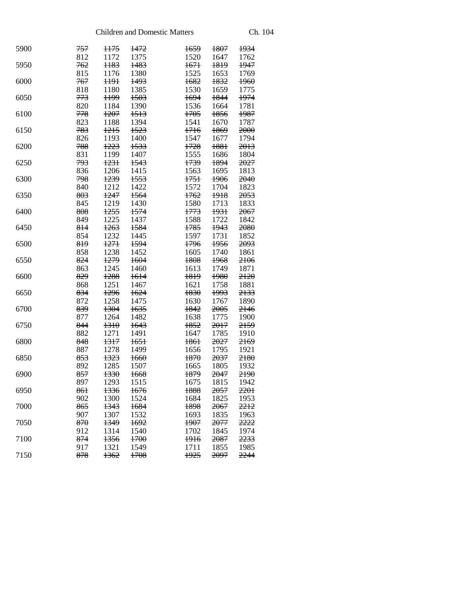| 5900 | <del>757</del> | H75             | 1472            | 1659            | 1807            | 1934   |
|------|----------------|-----------------|-----------------|-----------------|-----------------|--------|
|      | 812            | 1172            | 1375            | 1520            | 1647            | 1762   |
| 5950 | 762            | <del>1183</del> | 1483            | 1671            | 1819            | 1947   |
|      | 815            | 1176            | 1380            | 1525            | 1653            | 1769   |
| 6000 | 767            | <del>1191</del> | <del>1493</del> | 1682            | 1832            | $+960$ |
|      | 818            | 1180            | 1385            | 1530            | 1659            | 1775   |
| 6050 | 773            | <b>H99</b>      | 1503            | 1694            | 1844            | 1974   |
|      | 820            | 1184            | 1390            | 1536            | 1664            | 1781   |
| 6100 | 778            | <del>1207</del> | 1513            | 1705            | 1856            | 1987   |
|      | 823            | 1188            | 1394            | 1541            | 1670            | 1787   |
| 6150 | 783            | 1215            | 1523            | 1716            | 1869            | 2000   |
|      | 826            | 1193            | 1400            | 1547            | 1677            | 1794   |
| 6200 | 788            | <del>1223</del> | 1533            | 1728            | 1881            | 2013   |
|      | 831            | 1199            | 1407            | 1555            | 1686            | 1804   |
| 6250 | 793            | 1231            | 1543            | 1739            | 1894            | 2027   |
|      | 836            | 1206            | 1415            | 1563            | 1695            | 1813   |
| 6300 | 798            | 1239            | 1553            | 1751            | 1906            | 2040   |
|      | 840            | 1212            | 1422            | 1572            | 1704            | 1823   |
| 6350 | 803            | <del>1247</del> | 1564            | <del>1762</del> | 1918            | 2053   |
|      | 845            | 1219            | 1430            | 1580            | 1713            | 1833   |
|      | 808            | 1255            | 1574            | 1773            |                 |        |
| 6400 |                |                 |                 |                 | 1931            | 2067   |
|      | 849            | 1225            | 1437            | 1588            | 1722            | 1842   |
| 6450 | 814            | 1263            | 1584            | 1785            | 1943            | 2080   |
|      | 854            | 1232            | 1445            | 1597            | 1731            | 1852   |
| 6500 | 819            | <del>1271</del> | 1594            | 1796            | 1956            | 2093   |
|      | 858            | 1238            | 1452            | 1605            | 1740            | 1861   |
| 6550 | 824            | 1279            | 1604            | 1808            | 1968            | 2106   |
|      | 863            | 1245            | 1460            | 1613            | 1749            | 1871   |
| 6600 | 829            | <del>1288</del> | 1614            | <del>1819</del> | 1980            | 2120   |
|      | 868            | 1251            | 1467            | 1621            | 1758            | 1881   |
| 6650 | 834            | 1296            | 1624            | 1830            | 1993            | 2133   |
|      | 872            | 1258            | 1475            | 1630            | 1767            | 1890   |
| 6700 | 839            | 1304            | 1635            | 1842            | 2005            | 2146   |
|      | 877            | 1264            | 1482            | 1638            | 1775            | 1900   |
| 6750 | 844            | 1310            | 1643            | 1852            | 2017            | 2159   |
|      | 882            | 1271            | 1491            | 1647            | 1785            | 1910   |
| 6800 | 848            | 1317            | 1651            | 1861            | 2027            | 2169   |
|      | 887            | 1278            | 1499            | 1656            | 1795            | 1921   |
| 6850 | 853            | 1323            | 1660            | <del>1870</del> | 2037            | 2180   |
|      | 892            | 1285            | 1507            | 1665            | 1805            | 1932   |
| 6900 | 857            | 1330            | 1668            | 1879            | 2047            | 2190   |
|      | 897            | 1293            | 1515            | 1675            | 1815 1942       |        |
| 6950 | 861            | 1336            | 1676            | 1888            | <del>2057</del> | 2201   |
|      | 902            | 1300            | 1524            | 1684            | 1825            | 1953   |
| 7000 | 865            | 1343            | 1684            | 1898            | <del>2067</del> | 2212   |
|      | 907            | 1307            | 1532            | 1693            | 1835            | 1963   |
| 7050 | 870            | 1349            | 1692            | 1907            | 2077            | 2222   |
|      | 912            | 1314            | 1540            | 1702            | 1845            | 1974   |
| 7100 | 874            | 1356            | 1700            | 1916            | 2087            | 2233   |
|      | 917            | 1321            | 1549            | 1711            | 1855            | 1985   |
| 7150 | 878            | 1362            | 1708            | 1925            | 2097            | 2244   |
|      |                |                 |                 |                 |                 |        |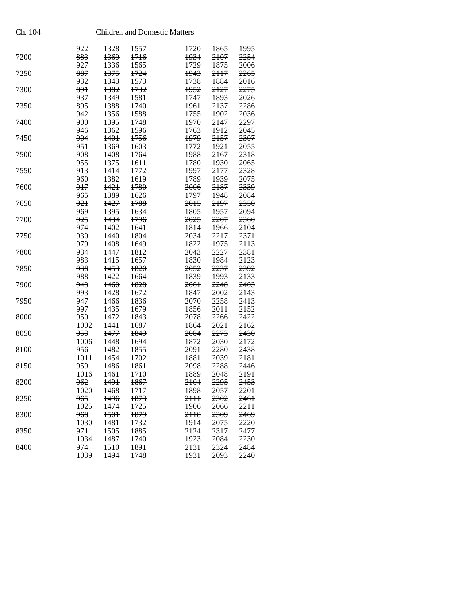|      | 922            | 1328   | 1557            | 1720            | 1865 | 1995 |
|------|----------------|--------|-----------------|-----------------|------|------|
| 7200 | 883            | 1369   | 1716            | 1934            | 2107 | 2254 |
|      | 927            | 1336   | 1565            | 1729            | 1875 | 2006 |
| 7250 | 887            | 1375   | 1724            | 1943            | 2117 | 2265 |
|      | 932            | 1343   | 1573            | 1738            | 1884 | 2016 |
| 7300 | 891            | 1382   | 1732            | 1952            | 2127 | 2275 |
|      | 937            | 1349   | 1581            | 1747            | 1893 | 2026 |
| 7350 | 895            | 1388   | 1740            | <del>1961</del> | 2137 | 2286 |
|      | 942            | 1356   | 1588            | 1755            | 1902 | 2036 |
| 7400 | 900            | 1395   | 1748            | 1970            | 2147 | 2297 |
|      | 946            | 1362   | 1596            | 1763            | 1912 | 2045 |
|      |                |        | 1756            | 1979            |      |      |
| 7450 | 904            | 1401   |                 |                 | 2157 | 2307 |
|      | 951            | 1369   | 1603            | 1772            | 1921 | 2055 |
| 7500 | 908            | 1408   | <del>1764</del> | 1988            | 2167 | 2318 |
|      | 955            | 1375   | 1611            | 1780            | 1930 | 2065 |
| 7550 | 913            | 1414   | 1772            | 1997            | 2177 | 2328 |
|      | 960            | 1382   | 1619            | 1789            | 1939 | 2075 |
| 7600 | 917            | $+42+$ | 1780            | 2006            | 2187 | 2339 |
|      | 965            | 1389   | 1626            | 1797            | 1948 | 2084 |
| 7650 | 921            | 1427   | 1788            | <del>2015</del> | 2197 | 2350 |
|      | 969            | 1395   | 1634            | 1805            | 1957 | 2094 |
| 7700 | 925            | 1434   | 1796            | 2025            | 2207 | 2360 |
|      | 974            | 1402   | 1641            | 1814            | 1966 | 2104 |
| 7750 | 930            | 1440   | 1804            | 2034            | 2217 | 2371 |
|      | 979            | 1408   | 1649            | 1822            | 1975 | 2113 |
| 7800 | 934            | 1447   | 1812            | 2043            | 2227 | 2381 |
|      |                | 1415   |                 |                 |      |      |
|      | 983            |        | 1657            | 1830            | 1984 | 2123 |
| 7850 | 938            | 1453   | 1820            | 2052            | 2237 | 2392 |
|      | 988            | 1422   | 1664            | 1839            | 1993 | 2133 |
| 7900 | 943            | 1460   | 1828            | <del>2061</del> | 2248 | 2403 |
|      | 993            | 1428   | 1672            | 1847            | 2002 | 2143 |
| 7950 | 947            | 1466   | 1836            | 2070            | 2258 | 2413 |
|      | 997            | 1435   | 1679            | 1856            | 2011 | 2152 |
| 8000 | <del>950</del> | 1472   | 1843            | 2078            | 2266 | 2422 |
|      | 1002           | 1441   | 1687            | 1864            | 2021 | 2162 |
| 8050 | 953            | 1477   | 1849            | 2084            | 2273 | 2430 |
|      | 1006           | 1448   | 1694            | 1872            | 2030 | 2172 |
| 8100 | 956            | 1482   | 1855            | 2091            | 2280 | 2438 |
|      | 1011           | 1454   | 1702            | 1881            | 2039 | 2181 |
| 8150 | 959            | 1486   | 1861            | 2098            | 2288 | 2446 |
|      | 1016           | 1461   | 1710            | 1889            | 2048 | 2191 |
| 8200 | 962            | 1491   | 1867            | 2104            | 2295 | 2453 |
|      | 1020           | 1468   | 1717            | 1898            | 2057 | 2201 |
| 8250 | 965            | 1496   | 1873            | 2HH             | 2302 | 2461 |
|      | 1025           |        | 1725            | 1906            |      | 2211 |
|      |                | 1474   |                 |                 | 2066 |      |
| 8300 | 968            | 1501   | 1879            | 2118            | 2309 | 2469 |
|      | 1030           | 1481   | 1732            | 1914            | 2075 | 2220 |
| 8350 | <del>971</del> | 1505   | 1885            | 2124            | 2317 | 2477 |
|      | 1034           | 1487   | 1740            | 1923            | 2084 | 2230 |
| 8400 | 974            | 1510   | 1891            | 2131            | 2324 | 2484 |
|      | 1039           | 1494   | 1748            | 1931            | 2093 | 2240 |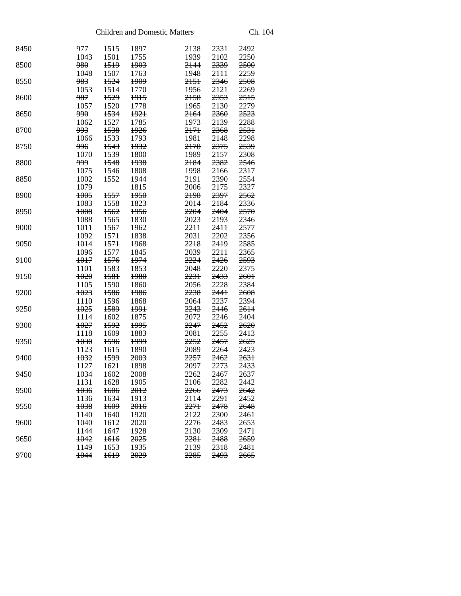| 8450 | 977<br>1043 | 1515<br>1501    | 1897<br>1755    | 2138<br>1939    | 2331<br>2102    | 2492<br>2250 |
|------|-------------|-----------------|-----------------|-----------------|-----------------|--------------|
| 8500 |             | 1519            |                 |                 | 2339            |              |
|      | 980         |                 | 1903            | 2144            |                 | 2500         |
|      | 1048        | 1507            | 1763            | 1948            | 2111            | 2259         |
| 8550 | 983         | 1524            | 1909            | 2151            | 2346            | 2508         |
|      | 1053        | 1514            | 1770            | 1956            | 2121            | 2269         |
| 8600 | 987         | 1529            | 1915            | 2158            | 2353            | 2515         |
|      | 1057        | 1520            | 1778            | 1965            | 2130            | 2279         |
| 8650 | 990         | 1534            | <del>1921</del> | <del>2164</del> | 2360            | 2523         |
|      | 1062        | 1527            | 1785            | 1973            | 2139            | 2288         |
| 8700 | 993         | 1538            | 1926            | 2171            | 2368            | 2531         |
|      | 1066        | 1533            | 1793            | 1981            | 2148            | 2298         |
| 8750 | 996         | 1543            | 1932            | 2178            | 2375            | 2539         |
|      | 1070        | 1539            | 1800            | 1989            | 2157            | 2308         |
| 8800 | 999         | 1548            | 1938            | 2184            | 2382            | 2546         |
|      | 1075        | 1546            | 1808            | 1998            | 2166            | 2317         |
| 8850 | 1002        | 1552            | 1944            | 2191            | 2390            | 2554         |
|      | 1079        |                 | 1815            | 2006            | 2175            | 2327         |
| 8900 | 1005        | <del>1557</del> | 1950            | <del>2198</del> | 2397            | 2562         |
|      | 1083        | 1558            | 1823            | 2014            | 2184            | 2336         |
| 8950 | 1008        | 1562            | 1956            | 2204            | 2404            | 2570         |
|      | 1088        | 1565            | 1830            | 2023            | 2193            | 2346         |
| 9000 | $+0+1$      | 1567            | 1962            | 2211            | 2411            | 2577         |
|      | 1092        | 1571            | 1838            | 2031            | 2202            | 2356         |
| 9050 | 1014        | 1571            | 1968            | 2218            | 2419            | 2585         |
|      | 1096        | 1577            | 1845            | 2039            | 2211            | 2365         |
| 9100 | 1017        | 1576            | 1974            | 2224            | 2426            | 2593         |
|      | 1101        | 1583            | 1853            | 2048            | 2220            | 2375         |
| 9150 | $+020$      | <del>1581</del> | 1980            | 2231            | 2433            | 2601         |
|      | 1105        | 1590            | 1860            | 2056            | 2228            | 2384         |
| 9200 | 1023        | 1586            | 1986            | 2238            | 2441            | 2608         |
|      | 1110        | 1596            | 1868            | 2064            | 2237            | 2394         |
| 9250 | $+025$      | 1589            | 1991            | 2243            | 2446            | 2614         |
|      | 1114        | 1602            | 1875            | 2072            | 2246            | 2404         |
| 9300 | 1027        | 1592            | 1995            | 2247            | 2452            | 2620         |
|      |             | 1609            | 1883            |                 | 2255            |              |
| 9350 | 1118        | 1596            | 1999            | 2081<br>2252    | 2457            | 2413<br>2625 |
|      | 1030        |                 |                 |                 |                 | 2423         |
| 9400 | 1123        | 1615            | 1890            | 2089            | 2264            | 2631         |
|      | 1032        | 1599            | <del>2003</del> | 2257            | 2462            |              |
|      | 1127        | 1621            | 1898            | 2097            | 2273            | 2433         |
| 9450 | 1034        | 1602            | 2008            | 2262            | 2467            | 2637         |
|      | 1131        | 1628 1905       |                 | 2106            | 2282            | 2442         |
| 9500 | 1036        | 1606            | 2012            | 2266            | <del>2473</del> | 2642         |
|      | 1136        | 1634            | 1913            | 2114            | 2291            | 2452         |
| 9550 | 1038        | 1609            | 2016            | 2271            | 2478            | 2648         |
|      | 1140        | 1640            | 1920            | 2122            | 2300            | 2461         |
| 9600 | 1040        | 1612            | 2020            | 2276            | 2483            | 2653         |
|      | 1144        | 1647            | 1928            | 2130            | 2309            | 2471         |
| 9650 | 1042        | 1616            | 2025            | 2281            | 2488            | 2659         |
|      | 1149        | 1653            | 1935            | 2139            | 2318            | 2481         |
| 9700 | 1044        | <del>1619</del> | 2029            | 2285            | 2493            | 2665         |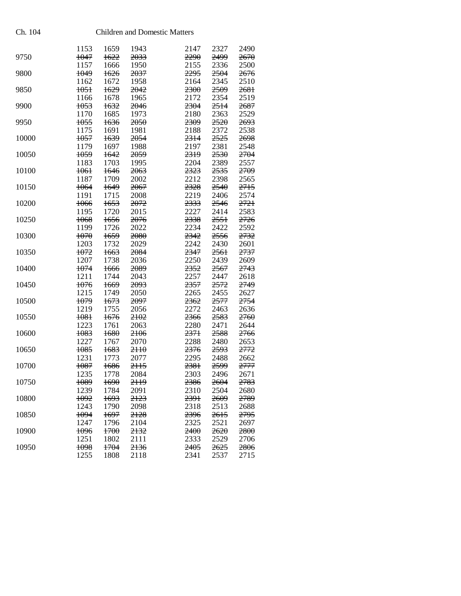| Ch. 104 |                 | <b>Children and Domestic Matters</b> |                 |  |                 |              |              |
|---------|-----------------|--------------------------------------|-----------------|--|-----------------|--------------|--------------|
|         | 1153            | 1659                                 | 1943            |  | 2147            | 2327         | 2490         |
| 9750    | 1047            | 1622                                 | 2033            |  | <del>2290</del> | 2499         | 2670         |
|         | 1157            | 1666                                 | 1950            |  | 2155            | 2336         | 2500         |
| 9800    | 1049            | 1626                                 | 2037            |  | 2295            | 2504         | 2676         |
|         | 1162            | 1672                                 | 1958            |  | 2164            | 2345         | 2510         |
| 9850    | <del>1051</del> | 1629                                 | 2042            |  | 2300            | 2509         | 2681         |
|         | 1166            | 1678                                 | 1965            |  | 2172            | 2354         | 2519         |
| 9900    | 1053            | 1632                                 | 2046            |  | 2304            | 2514         | 2687         |
|         | 1170            | 1685                                 | 1973            |  | 2180            | 2363         | 2529         |
| 9950    | 1055            | 1636                                 | 2050            |  | 2309            | 2520         | 2693         |
|         | 1175            | 1691                                 | 1981            |  | 2188            | 2372         | 2538         |
| 10000   | 1057            | 1639                                 | 2054            |  | 2314            | 2525         | 2698         |
|         | 1179<br>1059    | 1697                                 | 1988<br>2059    |  | 2197<br>2319    | 2381<br>2530 | 2548<br>2704 |
| 10050   | 1183            | 1642<br>1703                         | 1995            |  | 2204            | 2389         | 2557         |
| 10100   | <del>1061</del> | 1646                                 | 2063            |  | 2323            | 2535         | 2709         |
|         | 1187            | 1709                                 | 2002            |  | 2212            | 2398         | 2565         |
| 10150   | 1064            | 1649                                 | 2067            |  | 2328            | 2540         | 2715         |
|         | 1191            | 1715                                 | 2008            |  | 2219            | 2406         | 2574         |
| 10200   | 1066            | <del>1653</del>                      | 2072            |  | 2333            | 2546         | 2721         |
|         | 1195            | 1720                                 | 2015            |  | 2227            | 2414         | 2583         |
| 10250   | 1068            | 1656                                 | <del>2076</del> |  | 2338            | 2551         | 2726         |
|         | 1199            | 1726                                 | 2022            |  | 2234            | 2422         | 2592         |
| 10300   | 1070            | 1659                                 | 2080            |  | 2342            | 2556         | 2732         |
|         | 1203            | 1732                                 | 2029            |  | 2242            | 2430         | 2601         |
| 10350   | 1072            | 1663                                 | 2084            |  | 2347            | 2561         | 2737         |
|         | 1207            | 1738                                 | 2036            |  | 2250            | 2439         | 2609         |
| 10400   | 1074            | 1666                                 | 2089            |  | 2352            | 2567         | 2743         |
|         | 1211            | 1744                                 | 2043            |  | 2257            | 2447         | 2618         |
| 10450   | 1076            | 1669                                 | 2093            |  | 2357            | 2572         | 2749         |
|         | 1215            | 1749                                 | 2050            |  | 2265            | 2455         | 2627         |
| 10500   | 1079            | 1673                                 | 2097            |  | <del>2362</del> | 2577         | 2754         |
|         | 1219            | 1755                                 | 2056            |  | 2272            | 2463         | 2636         |
| 10550   | 1081            | 1676                                 | 2102            |  | 2366            | 2583         | 2760         |
|         | 1223            | 1761                                 | 2063            |  | 2280            | 2471         | 2644         |
| 10600   | 1083            | 1680                                 | 2106            |  | 2371            | 2588         | 2766         |
|         | 1227            | 1767                                 | 2070            |  | 2288            | 2480         | 2653         |
| 10650   | 1085            | 1683                                 | $2H\theta$      |  | 2376            | 2593         | 2772         |
|         | 1231            | 1773                                 | 2077            |  | 2295            | 2488         | 2662         |
| 10700   | 1087            | 1686                                 | 2115            |  | 2381            | 2599         | 2777         |
|         | 1235            | 1778                                 | 2084            |  | 2303            | 2496         | 2671         |
| 10750   | 1089            | 1690                                 | 2119            |  | 2386            | 2604         | 2783         |
|         | 1239            | 1784                                 | 2091            |  | 2310            | 2504         | 2680         |
| 10800   | 1092            | 1693                                 | 2123            |  | 2391            | 2609         | 2789         |
|         | 1243            | 1790                                 | 2098            |  | 2318            | 2513         | 2688         |
| 10850   | 1094            | 1697                                 | 2128            |  | 2396            | 2615         | 2795         |
|         | 1247            | 1796                                 | 2104            |  | 2325            | 2521         | 2697         |
| 10900   | 1096            | 1700                                 | 2132            |  | 2400            | 2620         | 2800         |
|         | 1251            | 1802                                 | 2111            |  | 2333            | 2529         | 2706         |
| 10950   | 1098            | 1704                                 | 2136            |  | 2405            | 2625         | 2806         |
|         | 1255            | 1808                                 | 2118            |  | 2341            | 2537         | 2715         |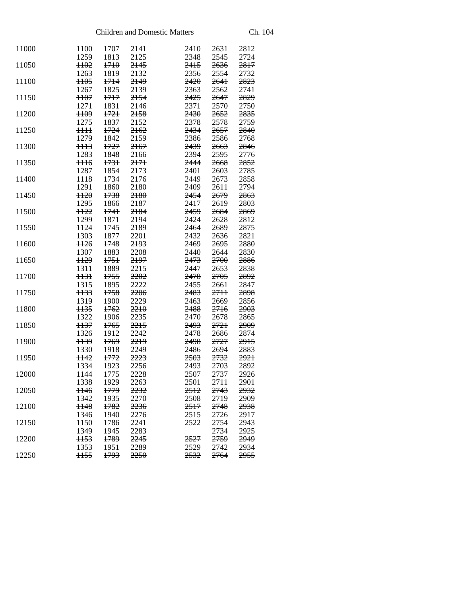| 11000 | H <sub>00</sub> | <del>1707</del> | 2141            | <del>2410</del> | <del>2631</del> | 2812 |
|-------|-----------------|-----------------|-----------------|-----------------|-----------------|------|
|       | 1259            | 1813            | 2125            | 2348            | 2545            | 2724 |
| 11050 | <del>1102</del> | 1710            | 2145            | 2415            | 2636            | 2817 |
|       | 1263            | 1819            | 2132            | 2356            | 2554            | 2732 |
| 11100 | H <sub>05</sub> | 1714            | 2149            | 2420            | 2641            | 2823 |
|       | 1267            | 1825            | 2139            | 2363            | 2562            | 2741 |
| 11150 | <del>1107</del> | 1717            | 2154            | 2425            | 2647            | 2829 |
|       | 1271            | 1831            | 2146            | 2371            | 2570            | 2750 |
| 11200 | <del>1109</del> | <del>1721</del> | <del>2158</del> | <del>2430</del> | 2652            | 2835 |
|       | 1275            | 1837            | 2152            | 2378            | 2578            | 2759 |
| 11250 | $\frac{1}{1}$   | 1724            | 2162            | 2434            | 2657            | 2840 |
|       | 1279            | 1842            | 2159            | 2386            | 2586            | 2768 |
| 11300 | <del>1113</del> | 1727            | 2167            | 2439            | 2663            | 2846 |
|       | 1283            | 1848            | 2166            | 2394            | 2595            | 2776 |
| 11350 |                 | 1731            | 2171            | 2444            | 2668            | 2852 |
|       | <del>1116</del> |                 |                 |                 |                 |      |
|       | 1287            | 1854            | 2173            | 2401            | 2603            | 2785 |
| 11400 | <del>1118</del> | 1734            | 2176            | 2449            | 2673            | 2858 |
|       | 1291            | 1860            | 2180            | 2409            | 2611            | 2794 |
| 11450 | $H2\theta$      | 1738            | 2180            | <del>2454</del> | 2679            | 2863 |
|       | 1295            | 1866            | 2187            | 2417            | 2619            | 2803 |
| 11500 | <b>H22</b>      | 1741            | 2184            | 2459            | 2684            | 2869 |
|       | 1299            | 1871            | 2194            | 2424            | 2628            | 2812 |
| 11550 | <b>H24</b>      | 1745            | 2189            | 2464            | 2689            | 2875 |
|       | 1303            | 1877            | 2201            | 2432            | 2636            | 2821 |
| 11600 | H <sub>26</sub> | 1748            | 2193            | 2469            | 2695            | 2880 |
|       | 1307            | 1883            | 2208            | 2440            | 2644            | 2830 |
| 11650 | <b>H29</b>      | 1751            | 2197            | 2473            | 2700            | 2886 |
|       | 1311            | 1889            | 2215            | 2447            | 2653            | 2838 |
| 11700 | <del>1131</del> | 1755            | 2202            | 2478            | 2705            | 2892 |
|       | 1315            | 1895            | 2222            | 2455            | 2661            | 2847 |
| 11750 | <del>1133</del> | 1758            | 2206            | 2483            | 2711            | 2898 |
|       | 1319            | 1900            | 2229            | 2463            | 2669            | 2856 |
| 11800 | $1135$          | 1762            | 2210            | 2488            | 2716            | 2903 |
|       | 1322            | 1906            | 2235            | 2470            | 2678            | 2865 |
| 11850 | H37             | 1765            | 2215            | 2493            | 2721            | 2909 |
|       | 1326            | 1912            | 2242            | 2478            | 2686            | 2874 |
| 11900 | <del>1139</del> | 1769            | 2219            | 2498            | 2727            | 2915 |
|       | 1330            | 1918            | 2249            | 2486            | 2694            | 2883 |
| 11950 | <del>1142</del> | <del>1772</del> | 2223            | 2503            | 2732            | 2921 |
|       | 1334            | 1923            | 2256            | 2493            | 2703            | 2892 |
| 12000 | 1144            | 1775            | 2228            | 2507            | 2737            | 2926 |
|       | 1338 1929       |                 | 2263            | 2501            | 2711            | 2901 |
| 12050 | <del>1146</del> | <del>1779</del> | 2232            | <del>2512</del> | 2743            | 2932 |
|       | 1342            | 1935            | 2270            | 2508            | 2719            | 2909 |
| 12100 | <del>1148</del> | 1782            | 2236            | 2517            | 2748            | 2938 |
|       | 1346            | 1940            | 2276            | 2515            | 2726            | 2917 |
| 12150 | H50             | 1786            | 2241            | 2522            | 2754            | 2943 |
|       | 1349            | 1945            | 2283            |                 | 2734            | 2925 |
| 12200 | <del>1153</del> | <del>1789</del> | 2245            | 2527            | 2759            | 2949 |
|       | 1353            | 1951            | 2289            | 2529            | 2742            | 2934 |
| 12250 | <b>H55</b>      | 1793            | 2250            | 2532            | 2764            | 2955 |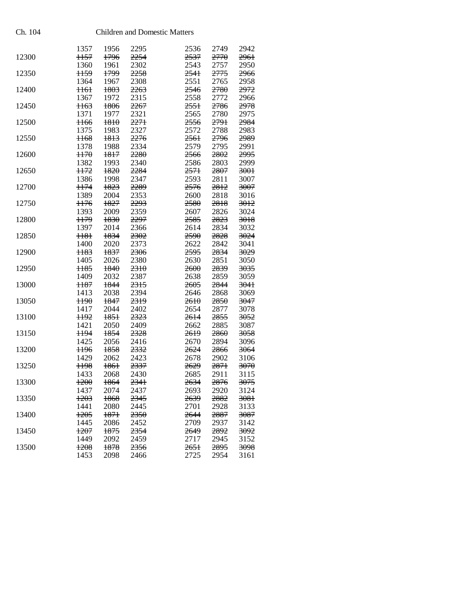| Ch. 104 |                 |                 |                 | <b>Children and Domestic Matters</b> |                 |                 |                 |
|---------|-----------------|-----------------|-----------------|--------------------------------------|-----------------|-----------------|-----------------|
|         | 1357            | 1956            | 2295            |                                      | 2536            | 2749            | 2942            |
| 12300   | 1157            | 1796            | 2254            |                                      | 2537            | 2770            | 2961            |
|         | 1360            | 1961            | 2302            |                                      | 2543            | 2757            | 2950            |
| 12350   | H <sub>59</sub> | 1799            | 2258            |                                      | 2541            | 2775            | <del>2966</del> |
|         | 1364            | 1967            | 2308            |                                      | 2551            | 2765            | 2958            |
| 12400   | <del>1161</del> | 1803            | 2263            |                                      | 2546            | 2780            | 2972            |
|         | 1367            | 1972            | 2315            |                                      | 2558            | 2772            | 2966            |
| 12450   | <del>1163</del> | 1806            | 2267            |                                      | 2551            | 2786            | 2978            |
|         | 1371            | 1977            | 2321            |                                      | 2565            | 2780            | 2975            |
| 12500   | <del>1166</del> | 1810            | 2271            |                                      | 2556            | 2791            | 2984            |
|         | 1375            | 1983            | 2327            |                                      | 2572            | 2788            | 2983            |
| 12550   | <b>H68</b>      | 1813            | 2276            |                                      | 2561            | 2796            | 2989            |
|         | 1378            | 1988            | 2334            |                                      | 2579            | 2795            | 2991            |
| 12600   | H70             | 1817            | 2280            |                                      | 2566            | 2802            | 2995            |
|         | 1382            | 1993            | 2340            |                                      | 2586            | 2803            | 2999            |
| 12650   | 1172            | 1820            | 2284            |                                      | 2571            | 2807            | 3001            |
|         | 1386            | 1998            | 2347            |                                      | 2593            | 2811            | 3007            |
| 12700   | <b>H74</b>      | 1823            | 2289            |                                      | 2576            | 2812            | 3007            |
|         | 1389            | 2004            | 2353            |                                      | 2600            | 2818            | 3016            |
| 12750   | H76             | 1827            | 2293            |                                      | 2580            | 2818            | 3012            |
|         | 1393            | 2009            | 2359            |                                      | 2607            | 2826            | 3024            |
| 12800   | <b>H79</b>      | 1830            | 2297            |                                      | 2585            | 2823            | 3018            |
|         | 1397            | 2014            | 2366            |                                      | 2614            | 2834            | 3032            |
| 12850   | 1181            | 1834            | 2302            |                                      | 2590            | 2828            | 3024            |
|         | 1400            | 2020            | 2373            |                                      | 2622            | 2842            | 3041            |
| 12900   | <b>H83</b>      | 1837            | 2306            |                                      | 2595            | 2834            | 3029            |
|         | 1405            | 2026            | 2380            |                                      | 2630            | 2851            | 3050            |
| 12950   | H <sub>85</sub> | 1840            | 2310            |                                      | 2600            | 2839            | 3035            |
|         | 1409            | 2032            | 2387            |                                      | 2638            | 2859            | 3059            |
| 13000   | <del>1187</del> | 1844            | 2315            |                                      | <del>2605</del> | 2844            | <del>3041</del> |
|         | 1413            | 2038            | 2394            |                                      | 2646            | 2868            | 3069            |
| 13050   | H90             | 1847            | 2319            |                                      | 2610            | 2850            | 3047            |
|         | 1417            | 2044            | 2402            |                                      | 2654            | 2877            | 3078            |
| 13100   | <b>H92</b>      | 1851            | 2323            |                                      | <del>2614</del> | 2855            | <del>3052</del> |
|         | 1421            | 2050            | 2409            |                                      | 2662            | 2885            | 3087            |
| 13150   | 1194            | 1854            | 2328            |                                      | 2619            | 2860            | 3058            |
|         | 1425            | 2056            | 2416            |                                      | 2670            | 2894            | 3096            |
| 13200   | <del>1196</del> | 1858            | 2332            |                                      | 2624            | 2866            | <del>3064</del> |
|         | 1429            |                 | 2423            |                                      |                 | 2902            | 3106            |
|         |                 | 2062            |                 |                                      | 2678            |                 |                 |
| 13250   | <del>1198</del> | <del>1861</del> | <del>2337</del> |                                      | <del>2629</del> | <del>2871</del> | <del>3070</del> |
|         | 1433            | 2068            | 2430            |                                      | 2685            | 2911            | 3115            |
| 13300   | 1200            | 1864            | 2341            |                                      | 2634            | 2876            | 3075            |
|         | 1437            | 2074            | 2437            |                                      | 2693            | 2920            | 3124            |
| 13350   | 1203            | 1868            | 2345            |                                      | 2639            | 2882            | 3081            |
|         | 1441            | 2080            | 2445            |                                      | 2701            | 2928            | 3133            |
| 13400   | 1205            | 1871            | 2350            |                                      | 2644            | 2887            | 3087            |
|         | 1445            | 2086            | 2452            |                                      | 2709            | 2937            | 3142            |
| 13450   | 1207            | 1875            | 2354            |                                      | 2649            | 2892            | 3092            |
|         | 1449            | 2092            | 2459            |                                      | 2717            | 2945            | 3152            |
| 13500   | 1208            | 1878            | 2356            |                                      | 2651            | 2895            | 3098            |
|         | 1453            | 2098            | 2466            |                                      | 2725            | 2954            | 3161            |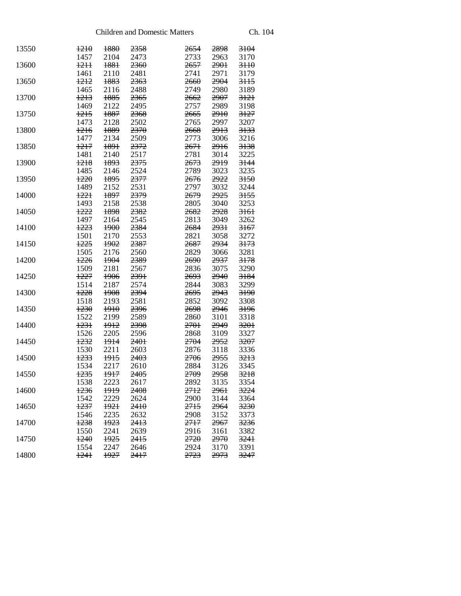| 13550 | 1210<br>1457    | 1880<br>2104    | 2358<br>2473    | 2654<br>2733    | 2898<br>2963     | 3104<br>3170    |
|-------|-----------------|-----------------|-----------------|-----------------|------------------|-----------------|
|       |                 |                 |                 |                 |                  |                 |
| 13600 | 1211            | 1881            | 2360            | <del>2657</del> | 290 <sup>1</sup> | $3H\theta$      |
|       | 1461            | 2110            | 2481            | 2741            | 2971             | 3179            |
| 13650 | <del>1212</del> | 1883            | <del>2363</del> | <del>2660</del> | 2904             | 3H <sub>5</sub> |
|       | 1465            | 2116            | 2488            | 2749            | 2980             | 3189            |
| 13700 | 1213            | 1885            | 2365            | 2662            | 2907             | 3121            |
|       | 1469            | 2122            | 2495            | 2757            | 2989             | 3198            |
| 13750 | 1215            | 1887            | <del>2368</del> | <del>2665</del> | 2910             | 3127            |
|       | 1473            | 2128            | 2502            | 2765            | 2997             | 3207            |
| 13800 | 1216            | 1889            | 2370            | 2668            | 2913             | 3133            |
|       | 1477            | 2134            | 2509            | 2773            | 3006             | 3216            |
| 13850 | 1217            | <del>1891</del> | 2372            | 2671            | 2916             | 3138            |
|       | 1481            | 2140            | 2517            | 2781            | 3014             | 3225            |
| 13900 | <del>1218</del> | <del>1893</del> | 2375            | 2673            | 2919             | 3144            |
|       | 1485            | 2146            | 2524            | 2789            | 3023             | 3235            |
| 13950 | 1220            | 1895            | 2377            | 2676            | 2922             | 3150            |
|       | 1489            | 2152            | 2531            | 2797            | 3032             | 3244            |
| 14000 | $+22+$          | 1897            | 2379            | 2679            | 2925             | 3155            |
|       | 1493            | 2158            | 2538            | 2805            | 3040             | 3253            |
| 14050 | 1222            | 1898            | 2382            | 2682            | 2928             | 3161            |
|       | 1497            | 2164            | 2545            | 2813            | 3049             | 3262            |
| 14100 | 1223            | 1900            | 2384            | 2684            | 2931             | 3167            |
|       | 1501            | 2170            | 2553            | 2821            | 3058             | 3272            |
| 14150 | 1225            | 1902            | 2387            | 2687            | 2934             | 3173            |
|       | 1505            | 2176            | 2560            | 2829            | 3066             | 3281            |
| 14200 | 1226            | 1904            | 2389            | 2690            | 2937             | 3178            |
|       | 1509            | 2181            | 2567            | 2836            | 3075             | 3290            |
| 14250 | 1227            | 1906            | 2391            | <del>2693</del> | 2940             | 3184            |
|       | 1514            | 2187            | 2574            | 2844            | 3083             | 3299            |
| 14300 | 1228            | 1908            | 2394            | 2695            | 2943             | 3190            |
|       | 1518            | 2193            | 2581            | 2852            | 3092             | 3308            |
| 14350 | 1230            | 1910            | 2396            | 2698            | 2946             | 3196            |
|       | 1522            | 2199            | 2589            | 2860            | 3101             | 3318            |
| 14400 | 1231            | 1912            | 2398            | 2701            | 2949             | 3201            |
|       | 1526            | 2205            | 2596            | 2868            | 3109             | 3327            |
| 14450 | 1232            | 1914            | 2401            | 2704            | 2952             | 3207            |
|       | 1530            | 2211            | 2603            | 2876            | 3118             | 3336            |
| 14500 | 1233            | 1915            | <del>2403</del> | 2706            | 2955             | 3213            |
|       | 1534            | 2217            |                 | 2884            | 3126             | 3345            |
|       |                 |                 | 2610            |                 |                  |                 |
| 14550 | 1235            | 1917            | <b>2405</b>     | 2709            | 2958             | 3218            |
|       | 1538            | 2223            | 2617            | 2892            | 3135             | 3354            |
| 14600 | 1236            | 1919            | <b>2408</b>     | 2712            | <del>2961</del>  | 3224            |
|       | 1542            | 2229            | 2624            | 2900            | 3144             | 3364            |
| 14650 | 1237            | 1921            | 2410            | 2715            | 2964             | 3230            |
|       | 1546            | 2235            | 2632            | 2908            | 3152             | 3373            |
| 14700 | 1238            | 1923            | 2413            | 2717            | 2967             | 3236            |
|       | 1550            | 2241            | 2639            | 2916            | 3161             | 3382            |
| 14750 | 1240            | 1925            | <del>2415</del> | 2720            | 2970             | 3241            |
|       | 1554            | 2247            | 2646            | 2924            | 3170             | 3391            |
| 14800 | 1241            | 1927            | 2417            | 2723            | 2973             | 3247            |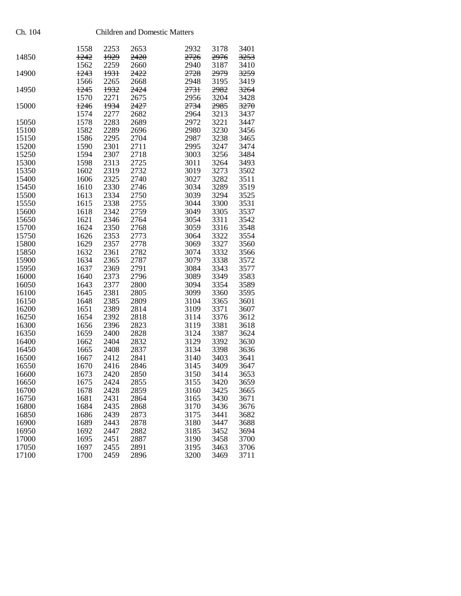| Children and Domestic Matter |  |  |  |  |
|------------------------------|--|--|--|--|
|------------------------------|--|--|--|--|

|       | 1558 | 2253 | 2653 | 2932 | 3178 | 3401 |
|-------|------|------|------|------|------|------|
| 14850 | 1242 | 1929 | 2420 | 2726 | 2976 | 3253 |
|       | 1562 | 2259 | 2660 | 2940 | 3187 | 3410 |
| 14900 | 1243 | 1931 | 2422 | 2728 | 2979 | 3259 |
|       | 1566 | 2265 | 2668 | 2948 | 3195 | 3419 |
| 14950 | 1245 | 1932 | 2424 | 2731 | 2982 | 3264 |
|       | 1570 | 2271 | 2675 | 2956 | 3204 | 3428 |
| 15000 | 1246 | 1934 | 2427 | 2734 | 2985 | 3270 |
|       | 1574 | 2277 | 2682 | 2964 | 3213 | 3437 |
| 15050 | 1578 | 2283 | 2689 | 2972 | 3221 | 3447 |
| 15100 | 1582 | 2289 | 2696 | 2980 | 3230 | 3456 |
| 15150 | 1586 | 2295 | 2704 | 2987 | 3238 | 3465 |
| 15200 | 1590 | 2301 | 2711 | 2995 | 3247 | 3474 |
| 15250 | 1594 | 2307 | 2718 | 3003 | 3256 | 3484 |
|       |      |      |      |      |      |      |
| 15300 | 1598 | 2313 | 2725 | 3011 | 3264 | 3493 |
| 15350 | 1602 | 2319 | 2732 | 3019 | 3273 | 3502 |
| 15400 | 1606 | 2325 | 2740 | 3027 | 3282 | 3511 |
| 15450 | 1610 | 2330 | 2746 | 3034 | 3289 | 3519 |
| 15500 | 1613 | 2334 | 2750 | 3039 | 3294 | 3525 |
| 15550 | 1615 | 2338 | 2755 | 3044 | 3300 | 3531 |
| 15600 | 1618 | 2342 | 2759 | 3049 | 3305 | 3537 |
| 15650 | 1621 | 2346 | 2764 | 3054 | 3311 | 3542 |
| 15700 | 1624 | 2350 | 2768 | 3059 | 3316 | 3548 |
| 15750 | 1626 | 2353 | 2773 | 3064 | 3322 | 3554 |
| 15800 | 1629 | 2357 | 2778 | 3069 | 3327 | 3560 |
| 15850 | 1632 | 2361 | 2782 | 3074 | 3332 | 3566 |
| 15900 | 1634 | 2365 | 2787 | 3079 | 3338 | 3572 |
| 15950 | 1637 | 2369 | 2791 | 3084 | 3343 | 3577 |
| 16000 | 1640 | 2373 | 2796 | 3089 | 3349 | 3583 |
| 16050 | 1643 | 2377 | 2800 | 3094 | 3354 | 3589 |
|       |      |      |      |      |      |      |
| 16100 | 1645 | 2381 | 2805 | 3099 | 3360 | 3595 |
| 16150 | 1648 | 2385 | 2809 | 3104 | 3365 | 3601 |
| 16200 | 1651 | 2389 | 2814 | 3109 | 3371 | 3607 |
| 16250 | 1654 | 2392 | 2818 | 3114 | 3376 | 3612 |
| 16300 | 1656 | 2396 | 2823 | 3119 | 3381 | 3618 |
| 16350 | 1659 | 2400 | 2828 | 3124 | 3387 | 3624 |
| 16400 | 1662 | 2404 | 2832 | 3129 | 3392 | 3630 |
| 16450 | 1665 | 2408 | 2837 | 3134 | 3398 | 3636 |
| 16500 | 1667 | 2412 | 2841 | 3140 | 3403 | 3641 |
| 16550 | 1670 | 2416 | 2846 | 3145 | 3409 | 3647 |
| 16600 | 1673 | 2420 | 2850 | 3150 | 3414 | 3653 |
| 16650 | 1675 | 2424 | 2855 | 3155 | 3420 | 3659 |
| 16700 | 1678 | 2428 | 2859 | 3160 | 3425 | 3665 |
| 16750 | 1681 | 2431 | 2864 | 3165 | 3430 | 3671 |
| 16800 | 1684 | 2435 | 2868 | 3170 | 3436 | 3676 |
| 16850 | 1686 | 2439 | 2873 | 3175 | 3441 | 3682 |
| 16900 | 1689 | 2443 | 2878 | 3180 | 3447 | 3688 |
| 16950 | 1692 | 2447 | 2882 | 3185 | 3452 | 3694 |
| 17000 | 1695 | 2451 | 2887 | 3190 | 3458 | 3700 |
| 17050 | 1697 | 2455 | 2891 | 3195 | 3463 | 3706 |
|       |      |      |      |      |      |      |
| 17100 | 1700 | 2459 | 2896 | 3200 | 3469 | 3711 |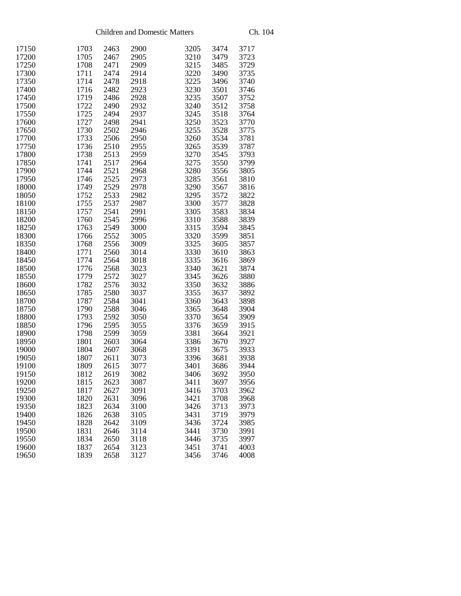| 17150 | 1703 | 2463 | 2900 | 3205 | 3474 | 3717 |
|-------|------|------|------|------|------|------|
| 17200 | 1705 | 2467 | 2905 | 3210 | 3479 | 3723 |
| 17250 | 1708 | 2471 | 2909 | 3215 | 3485 | 3729 |
| 17300 | 1711 | 2474 | 2914 | 3220 | 3490 | 3735 |
| 17350 | 1714 | 2478 | 2918 | 3225 | 3496 | 3740 |
| 17400 | 1716 | 2482 | 2923 | 3230 | 3501 | 3746 |
| 17450 | 1719 | 2486 | 2928 | 3235 | 3507 | 3752 |
| 17500 | 1722 | 2490 | 2932 | 3240 | 3512 | 3758 |
| 17550 | 1725 | 2494 | 2937 | 3245 | 3518 | 3764 |
| 17600 | 1727 | 2498 | 2941 | 3250 | 3523 | 3770 |
| 17650 | 1730 | 2502 | 2946 | 3255 | 3528 | 3775 |
| 17700 | 1733 | 2506 | 2950 | 3260 | 3534 | 3781 |
| 17750 | 1736 | 2510 | 2955 | 3265 | 3539 | 3787 |
| 17800 | 1738 | 2513 | 2959 | 3270 | 3545 | 3793 |
| 17850 | 1741 | 2517 | 2964 | 3275 | 3550 | 3799 |
| 17900 | 1744 | 2521 | 2968 | 3280 | 3556 | 3805 |
| 17950 | 1746 | 2525 | 2973 | 3285 | 3561 | 3810 |
| 18000 | 1749 | 2529 | 2978 | 3290 | 3567 | 3816 |
| 18050 | 1752 | 2533 | 2982 | 3295 | 3572 | 3822 |
| 18100 | 1755 | 2537 | 2987 | 3300 | 3577 | 3828 |
| 18150 | 1757 | 2541 | 2991 | 3305 | 3583 | 3834 |
| 18200 | 1760 | 2545 | 2996 | 3310 | 3588 | 3839 |
| 18250 | 1763 | 2549 | 3000 | 3315 | 3594 | 3845 |
| 18300 | 1766 | 2552 | 3005 | 3320 | 3599 | 3851 |
| 18350 | 1768 | 2556 | 3009 | 3325 | 3605 | 3857 |
|       |      | 2560 |      | 3330 |      | 3863 |
| 18400 | 1771 |      | 3014 |      | 3610 |      |
| 18450 | 1774 | 2564 | 3018 | 3335 | 3616 | 3869 |
| 18500 | 1776 | 2568 | 3023 | 3340 | 3621 | 3874 |
| 18550 | 1779 | 2572 | 3027 | 3345 | 3626 | 3880 |
| 18600 | 1782 | 2576 | 3032 | 3350 | 3632 | 3886 |
| 18650 | 1785 | 2580 | 3037 | 3355 | 3637 | 3892 |
| 18700 | 1787 | 2584 | 3041 | 3360 | 3643 | 3898 |
| 18750 | 1790 | 2588 | 3046 | 3365 | 3648 | 3904 |
| 18800 | 1793 | 2592 | 3050 | 3370 | 3654 | 3909 |
| 18850 | 1796 | 2595 | 3055 | 3376 | 3659 | 3915 |
| 18900 | 1798 | 2599 | 3059 | 3381 | 3664 | 3921 |
| 18950 | 1801 | 2603 | 3064 | 3386 | 3670 | 3927 |
| 19000 | 1804 | 2607 | 3068 | 3391 | 3675 | 3933 |
| 19050 | 1807 | 2611 | 3073 | 3396 | 3681 | 3938 |
| 19100 | 1809 | 2615 | 3077 | 3401 | 3686 | 3944 |
| 19150 | 1812 | 2619 | 3082 | 3406 | 3692 | 3950 |
| 19200 | 1815 | 2623 | 3087 | 3411 | 3697 | 3956 |
| 19250 | 1817 | 2627 | 3091 | 3416 | 3703 | 3962 |
| 19300 | 1820 | 2631 | 3096 | 3421 | 3708 | 3968 |
| 19350 | 1823 | 2634 | 3100 | 3426 | 3713 | 3973 |
| 19400 | 1826 | 2638 | 3105 | 3431 | 3719 | 3979 |
| 19450 | 1828 | 2642 | 3109 | 3436 | 3724 | 3985 |
| 19500 | 1831 | 2646 | 3114 | 3441 | 3730 | 3991 |
| 19550 | 1834 | 2650 | 3118 | 3446 | 3735 | 3997 |
| 19600 | 1837 | 2654 | 3123 | 3451 | 3741 | 4003 |
| 19650 | 1839 | 2658 | 3127 | 3456 | 3746 | 4008 |